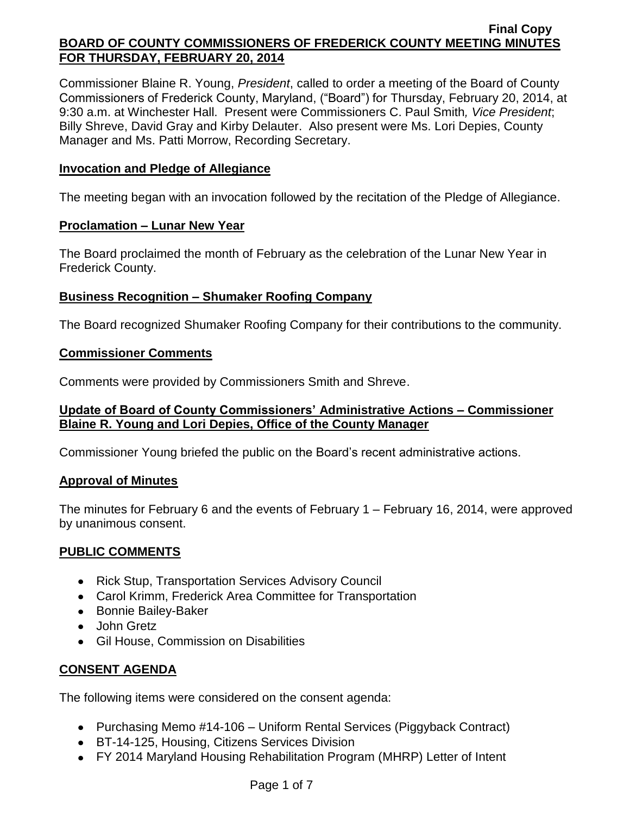Commissioner Blaine R. Young, *President*, called to order a meeting of the Board of County Commissioners of Frederick County, Maryland, ("Board") for Thursday, February 20, 2014, at 9:30 a.m. at Winchester Hall. Present were Commissioners C. Paul Smith*, Vice President*; Billy Shreve, David Gray and Kirby Delauter. Also present were Ms. Lori Depies, County Manager and Ms. Patti Morrow, Recording Secretary.

## **Invocation and Pledge of Allegiance**

The meeting began with an invocation followed by the recitation of the Pledge of Allegiance.

## **Proclamation – Lunar New Year**

The Board proclaimed the month of February as the celebration of the Lunar New Year in Frederick County.

# **Business Recognition – Shumaker Roofing Company**

The Board recognized Shumaker Roofing Company for their contributions to the community.

## **Commissioner Comments**

Comments were provided by Commissioners Smith and Shreve.

## **Update of Board of County Commissioners' Administrative Actions – Commissioner Blaine R. Young and Lori Depies, Office of the County Manager**

Commissioner Young briefed the public on the Board's recent administrative actions.

## **Approval of Minutes**

The minutes for February 6 and the events of February 1 – February 16, 2014, were approved by unanimous consent.

# **PUBLIC COMMENTS**

- Rick Stup, Transportation Services Advisory Council
- Carol Krimm, Frederick Area Committee for Transportation
- Bonnie Bailey-Baker
- John Gretz
- Gil House, Commission on Disabilities

# **CONSENT AGENDA**

The following items were considered on the consent agenda:

- Purchasing Memo #14-106 Uniform Rental Services (Piggyback Contract)
- BT-14-125, Housing, Citizens Services Division
- FY 2014 Maryland Housing Rehabilitation Program (MHRP) Letter of Intent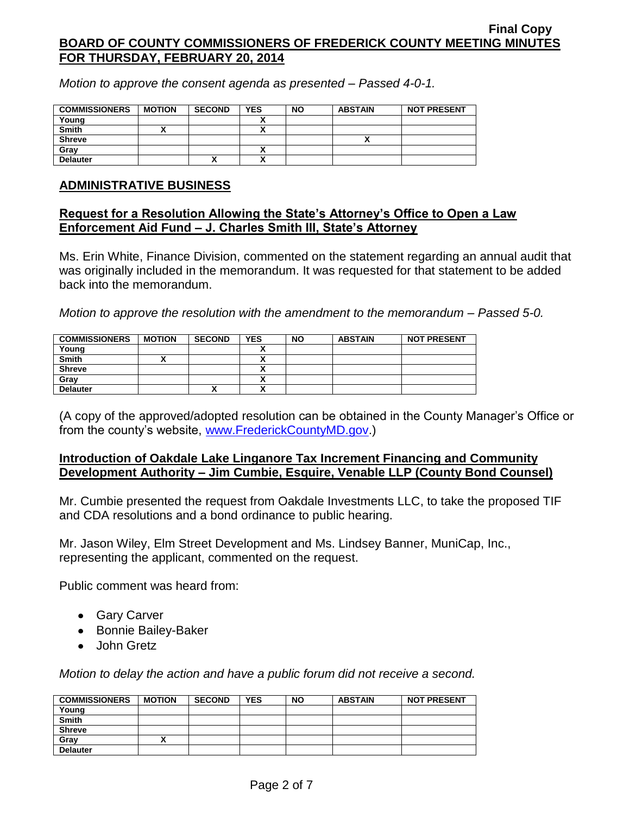*Motion to approve the consent agenda as presented – Passed 4-0-1.*

| <b>COMMISSIONERS</b> | <b>MOTION</b> | <b>SECOND</b> | <b>YES</b> | <b>NO</b> | <b>ABSTAIN</b> | <b>NOT PRESENT</b> |
|----------------------|---------------|---------------|------------|-----------|----------------|--------------------|
| Young                |               |               |            |           |                |                    |
| <b>Smith</b>         |               |               |            |           |                |                    |
| <b>Shreve</b>        |               |               |            |           |                |                    |
| Gray                 |               |               |            |           |                |                    |
| <b>Delauter</b>      |               | ↗             |            |           |                |                    |

### **ADMINISTRATIVE BUSINESS**

#### **Request for a Resolution Allowing the State's Attorney's Office to Open a Law Enforcement Aid Fund – J. Charles Smith III, State's Attorney**

Ms. Erin White, Finance Division, commented on the statement regarding an annual audit that was originally included in the memorandum. It was requested for that statement to be added back into the memorandum.

*Motion to approve the resolution with the amendment to the memorandum – Passed 5-0.*

| <b>COMMISSIONERS</b> | <b>MOTION</b> | <b>SECOND</b> | <b>YES</b> | <b>NO</b> | <b>ABSTAIN</b> | <b>NOT PRESENT</b> |
|----------------------|---------------|---------------|------------|-----------|----------------|--------------------|
| Young                |               |               |            |           |                |                    |
| <b>Smith</b>         |               |               | ,,         |           |                |                    |
| <b>Shreve</b>        |               |               |            |           |                |                    |
| Gray                 |               |               | $\cdot$    |           |                |                    |
| <b>Delauter</b>      |               | ́             |            |           |                |                    |

(A copy of the approved/adopted resolution can be obtained in the County Manager's Office or from the county's website, [www.FrederickCountyMD.gov.](http://www.frederickcountymd.gov/))

## **Introduction of Oakdale Lake Linganore Tax Increment Financing and Community Development Authority – Jim Cumbie, Esquire, Venable LLP (County Bond Counsel)**

Mr. Cumbie presented the request from Oakdale Investments LLC, to take the proposed TIF and CDA resolutions and a bond ordinance to public hearing.

Mr. Jason Wiley, Elm Street Development and Ms. Lindsey Banner, MuniCap, Inc., representing the applicant, commented on the request.

Public comment was heard from:

- Gary Carver
- Bonnie Bailey-Baker
- John Gretz

*Motion to delay the action and have a public forum did not receive a second.*

| <b>COMMISSIONERS</b> | <b>MOTION</b> | <b>SECOND</b> | <b>YES</b> | <b>NO</b> | <b>ABSTAIN</b> | <b>NOT PRESENT</b> |
|----------------------|---------------|---------------|------------|-----------|----------------|--------------------|
| Young                |               |               |            |           |                |                    |
| <b>Smith</b>         |               |               |            |           |                |                    |
| <b>Shreve</b>        |               |               |            |           |                |                    |
| Gray                 |               |               |            |           |                |                    |
| <b>Delauter</b>      |               |               |            |           |                |                    |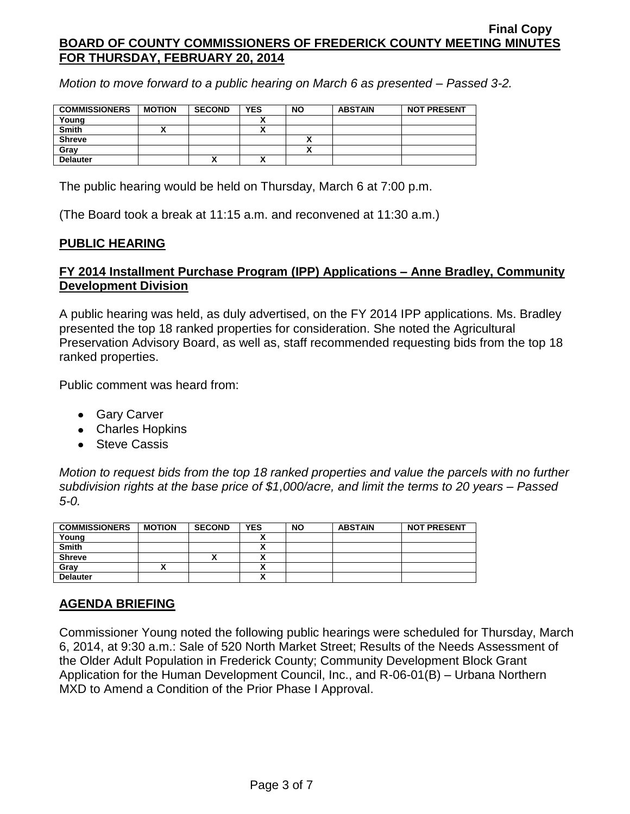*Motion to move forward to a public hearing on March 6 as presented – Passed 3-2.*

| <b>COMMISSIONERS</b> | <b>MOTION</b> | <b>SECOND</b> | <b>YES</b> | <b>NO</b> | <b>ABSTAIN</b> | <b>NOT PRESENT</b> |
|----------------------|---------------|---------------|------------|-----------|----------------|--------------------|
| Young                |               |               |            |           |                |                    |
| <b>Smith</b>         |               |               |            |           |                |                    |
| <b>Shreve</b>        |               |               |            |           |                |                    |
| Gray                 |               |               |            |           |                |                    |
| <b>Delauter</b>      |               | ́             |            |           |                |                    |

The public hearing would be held on Thursday, March 6 at 7:00 p.m.

(The Board took a break at 11:15 a.m. and reconvened at 11:30 a.m.)

## **PUBLIC HEARING**

## **FY 2014 Installment Purchase Program (IPP) Applications – Anne Bradley, Community Development Division**

A public hearing was held, as duly advertised, on the FY 2014 IPP applications. Ms. Bradley presented the top 18 ranked properties for consideration. She noted the Agricultural Preservation Advisory Board, as well as, staff recommended requesting bids from the top 18 ranked properties.

Public comment was heard from:

- Gary Carver
- Charles Hopkins
- Steve Cassis

*Motion to request bids from the top 18 ranked properties and value the parcels with no further subdivision rights at the base price of \$1,000/acre, and limit the terms to 20 years – Passed 5-0.*

| <b>COMMISSIONERS</b> | <b>MOTION</b> | <b>SECOND</b> | <b>YES</b> | <b>NO</b> | <b>ABSTAIN</b> | <b>NOT PRESENT</b> |
|----------------------|---------------|---------------|------------|-----------|----------------|--------------------|
| Young                |               |               |            |           |                |                    |
| <b>Smith</b>         |               |               |            |           |                |                    |
| <b>Shreve</b>        |               |               |            |           |                |                    |
| Grav                 |               |               |            |           |                |                    |
| <b>Delauter</b>      |               |               | n          |           |                |                    |

# **AGENDA BRIEFING**

Commissioner Young noted the following public hearings were scheduled for Thursday, March 6, 2014, at 9:30 a.m.: Sale of 520 North Market Street; Results of the Needs Assessment of the Older Adult Population in Frederick County; Community Development Block Grant Application for the Human Development Council, Inc., and R-06-01(B) – Urbana Northern MXD to Amend a Condition of the Prior Phase I Approval.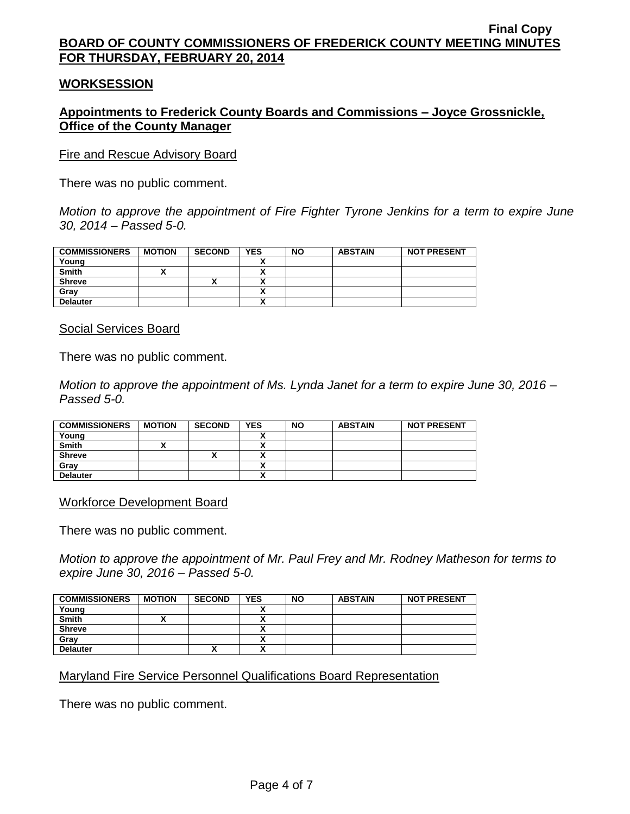#### **WORKSESSION**

## **Appointments to Frederick County Boards and Commissions – Joyce Grossnickle, Office of the County Manager**

Fire and Rescue Advisory Board

There was no public comment.

*Motion to approve the appointment of Fire Fighter Tyrone Jenkins for a term to expire June 30, 2014 – Passed 5-0.*

| <b>COMMISSIONERS</b> | <b>MOTION</b> | <b>SECOND</b> | <b>YES</b>                | <b>NO</b> | <b>ABSTAIN</b> | <b>NOT PRESENT</b> |
|----------------------|---------------|---------------|---------------------------|-----------|----------------|--------------------|
| Young                |               |               |                           |           |                |                    |
| Smith                |               |               | Δ                         |           |                |                    |
| <b>Shreve</b>        |               |               |                           |           |                |                    |
| Gray                 |               |               |                           |           |                |                    |
| <b>Delauter</b>      |               |               | $\ddot{\phantom{0}}$<br>^ |           |                |                    |

Social Services Board

There was no public comment.

*Motion to approve the appointment of Ms. Lynda Janet for a term to expire June 30, 2016 – Passed 5-0.*

| <b>COMMISSIONERS</b> | <b>MOTION</b> | <b>SECOND</b> | <b>YES</b> | <b>NO</b> | <b>ABSTAIN</b> | <b>NOT PRESENT</b> |
|----------------------|---------------|---------------|------------|-----------|----------------|--------------------|
| Young                |               |               |            |           |                |                    |
| <b>Smith</b>         |               |               |            |           |                |                    |
| <b>Shreve</b>        |               |               |            |           |                |                    |
| Grav                 |               |               |            |           |                |                    |
| <b>Delauter</b>      |               |               | ,,         |           |                |                    |

Workforce Development Board

There was no public comment.

*Motion to approve the appointment of Mr. Paul Frey and Mr. Rodney Matheson for terms to expire June 30, 2016 – Passed 5-0.*

| <b>COMMISSIONERS</b> | <b>MOTION</b> | <b>SECOND</b> | <b>YES</b>               | <b>NO</b> | <b>ABSTAIN</b> | <b>NOT PRESENT</b> |
|----------------------|---------------|---------------|--------------------------|-----------|----------------|--------------------|
| Young                |               |               |                          |           |                |                    |
| <b>Smith</b>         |               |               |                          |           |                |                    |
| <b>Shreve</b>        |               |               |                          |           |                |                    |
| Gray                 |               |               |                          |           |                |                    |
| <b>Delauter</b>      |               | '             | $\overline{\phantom{a}}$ |           |                |                    |

Maryland Fire Service Personnel Qualifications Board Representation

There was no public comment.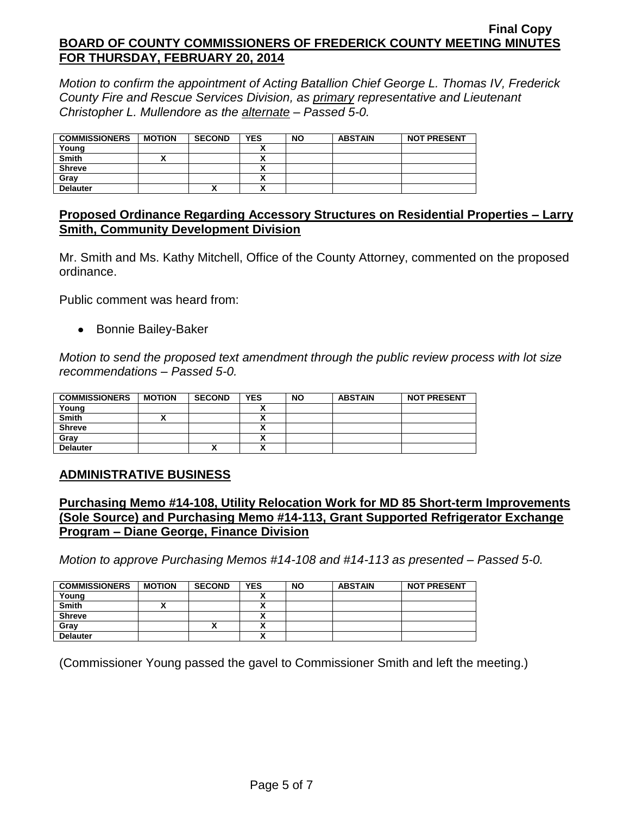*Motion to confirm the appointment of Acting Batallion Chief George L. Thomas IV, Frederick County Fire and Rescue Services Division, as primary representative and Lieutenant Christopher L. Mullendore as the alternate – Passed 5-0.*

| <b>COMMISSIONERS</b> | <b>MOTION</b> | <b>SECOND</b> | <b>YES</b> | <b>NO</b> | <b>ABSTAIN</b> | <b>NOT PRESENT</b> |
|----------------------|---------------|---------------|------------|-----------|----------------|--------------------|
| Young                |               |               |            |           |                |                    |
| <b>Smith</b>         |               |               |            |           |                |                    |
| <b>Shreve</b>        |               |               |            |           |                |                    |
| Grav                 |               |               |            |           |                |                    |
| <b>Delauter</b>      |               | "             |            |           |                |                    |

## **Proposed Ordinance Regarding Accessory Structures on Residential Properties – Larry Smith, Community Development Division**

Mr. Smith and Ms. Kathy Mitchell, Office of the County Attorney, commented on the proposed ordinance.

Public comment was heard from:

• Bonnie Bailey-Baker

*Motion to send the proposed text amendment through the public review process with lot size recommendations – Passed 5-0.*

| <b>COMMISSIONERS</b> | <b>MOTION</b> | <b>SECOND</b> | <b>YES</b> | <b>NO</b> | <b>ABSTAIN</b> | <b>NOT PRESENT</b> |
|----------------------|---------------|---------------|------------|-----------|----------------|--------------------|
| Young                |               |               |            |           |                |                    |
| <b>Smith</b>         |               |               | ,,         |           |                |                    |
| <b>Shreve</b>        |               |               | ,,         |           |                |                    |
| Gray                 |               |               | ↗          |           |                |                    |
| <b>Delauter</b>      |               | '             | ~          |           |                |                    |

# **ADMINISTRATIVE BUSINESS**

## **Purchasing Memo #14-108, Utility Relocation Work for MD 85 Short-term Improvements (Sole Source) and Purchasing Memo #14-113, Grant Supported Refrigerator Exchange Program – Diane George, Finance Division**

*Motion to approve Purchasing Memos #14-108 and #14-113 as presented – Passed 5-0.*

| <b>COMMISSIONERS</b> | <b>MOTION</b> | <b>SECOND</b> | <b>YES</b> | <b>NO</b> | <b>ABSTAIN</b> | <b>NOT PRESENT</b> |
|----------------------|---------------|---------------|------------|-----------|----------------|--------------------|
| Young                |               |               |            |           |                |                    |
| <b>Smith</b>         |               |               |            |           |                |                    |
| <b>Shreve</b>        |               |               |            |           |                |                    |
| Grav                 |               | Λ             |            |           |                |                    |
| <b>Delauter</b>      |               |               |            |           |                |                    |

(Commissioner Young passed the gavel to Commissioner Smith and left the meeting.)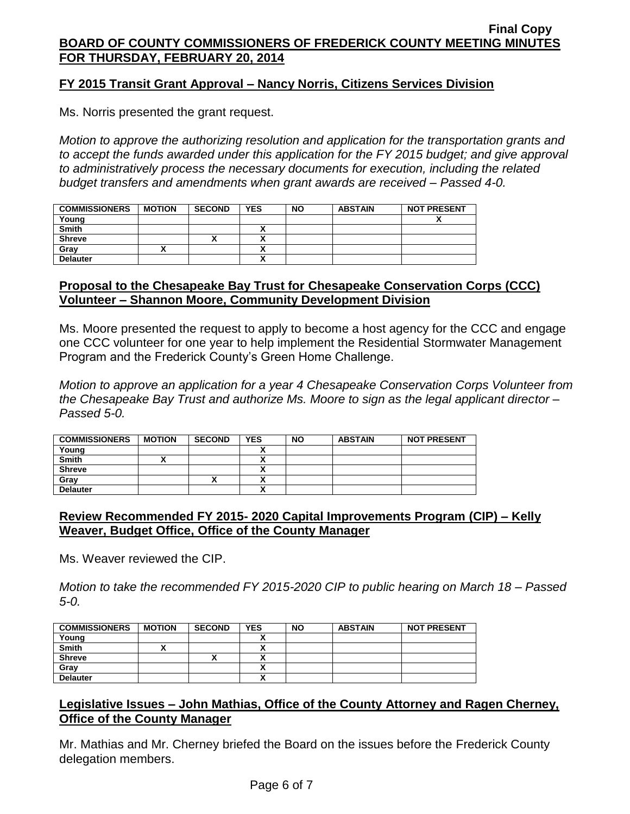## **FY 2015 Transit Grant Approval – Nancy Norris, Citizens Services Division**

Ms. Norris presented the grant request.

*Motion to approve the authorizing resolution and application for the transportation grants and to accept the funds awarded under this application for the FY 2015 budget; and give approval to administratively process the necessary documents for execution, including the related budget transfers and amendments when grant awards are received – Passed 4-0.*

| <b>COMMISSIONERS</b> | <b>MOTION</b> | <b>SECOND</b> | <b>YES</b>   | <b>NO</b> | <b>ABSTAIN</b> | <b>NOT PRESENT</b> |
|----------------------|---------------|---------------|--------------|-----------|----------------|--------------------|
| Young                |               |               |              |           |                |                    |
| <b>Smith</b>         |               |               |              |           |                |                    |
| <b>Shreve</b>        |               |               |              |           |                |                    |
| Gray                 |               |               | ~            |           |                |                    |
| <b>Delauter</b>      |               |               | $\mathbf{v}$ |           |                |                    |

## **Proposal to the Chesapeake Bay Trust for Chesapeake Conservation Corps (CCC) Volunteer – Shannon Moore, Community Development Division**

Ms. Moore presented the request to apply to become a host agency for the CCC and engage one CCC volunteer for one year to help implement the Residential Stormwater Management Program and the Frederick County's Green Home Challenge.

*Motion to approve an application for a year 4 Chesapeake Conservation Corps Volunteer from the Chesapeake Bay Trust and authorize Ms. Moore to sign as the legal applicant director – Passed 5-0.*

| <b>COMMISSIONERS</b> | <b>MOTION</b> | <b>SECOND</b> | <b>YES</b> | <b>NO</b> | <b>ABSTAIN</b> | <b>NOT PRESENT</b> |
|----------------------|---------------|---------------|------------|-----------|----------------|--------------------|
| Young                |               |               |            |           |                |                    |
| <b>Smith</b>         |               |               |            |           |                |                    |
| <b>Shreve</b>        |               |               |            |           |                |                    |
| Grav                 |               |               |            |           |                |                    |
| <b>Delauter</b>      |               |               | $\cdot$    |           |                |                    |

## **Review Recommended FY 2015- 2020 Capital Improvements Program (CIP) – Kelly Weaver, Budget Office, Office of the County Manager**

Ms. Weaver reviewed the CIP.

*Motion to take the recommended FY 2015-2020 CIP to public hearing on March 18 – Passed 5-0.*

| <b>COMMISSIONERS</b> | <b>MOTION</b> | <b>SECOND</b> | <b>YES</b>               | <b>NO</b> | <b>ABSTAIN</b> | <b>NOT PRESENT</b> |
|----------------------|---------------|---------------|--------------------------|-----------|----------------|--------------------|
| Young                |               |               |                          |           |                |                    |
| <b>Smith</b>         |               |               |                          |           |                |                    |
| <b>Shreve</b>        |               |               | $\overline{\phantom{a}}$ |           |                |                    |
| Gray                 |               |               | ↗                        |           |                |                    |
| <b>Delauter</b>      |               |               | n                        |           |                |                    |

## **Legislative Issues – John Mathias, Office of the County Attorney and Ragen Cherney, Office of the County Manager**

Mr. Mathias and Mr. Cherney briefed the Board on the issues before the Frederick County delegation members.